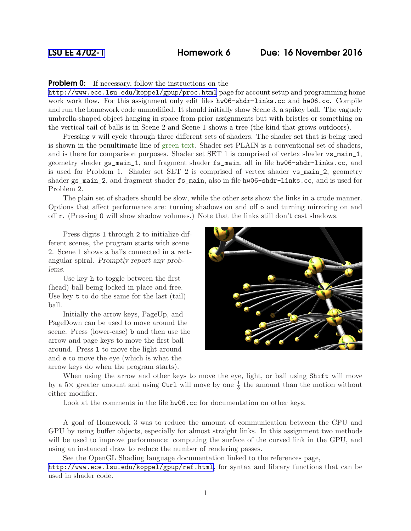## [LSU EE 4702-1](http://www.ece.lsu.edu/koppel/gpup/) Homework 6 Due: 16 November 2016

## **Problem 0:** If necessary, follow the instructions on the

<http://www.ece.lsu.edu/koppel/gpup/proc.html> page for account setup and programming homework work flow. For this assignment only edit files  $hw06$ -shdr-links.cc and  $hw06$ .cc. Compile and run the homework code unmodified. It should initially show Scene 3, a spikey ball. The vaguely umbrella-shaped object hanging in space from prior assignments but with bristles or something on the vertical tail of balls is in Scene 2 and Scene 1 shows a tree (the kind that grows outdoors).

Pressing v will cycle through three different sets of shaders. The shader set that is being used is shown in the penultimate line of green text. Shader set PLAIN is a conventional set of shaders, and is there for comparison purposes. Shader set SET 1 is comprised of vertex shader  $vs\_main\_1$ , geometry shader gs\_main\_1, and fragment shader fs\_main, all in file hw06-shdr-links.cc, and is used for Problem 1. Shader set SET 2 is comprised of vertex shader vs\_main\_2, geometry shader  $gs\_main\_2$ , and fragment shader  $fs\_main$ , also in file hw06-shdr-links.cc, and is used for Problem 2.

The plain set of shaders should be slow, while the other sets show the links in a crude manner. Options that affect performance are: turning shadows on and off o and turning mirroring on and off r. (Pressing O will show shadow volumes.) Note that the links still don't cast shadows.

Press digits 1 through 2 to initialize different scenes, the program starts with scene 2. Scene 1 shows a balls connected in a rectangular spiral. Promptly report any problems.

Use key h to toggle between the first (head) ball being locked in place and free. Use key t to do the same for the last (tail) ball.

Initially the arrow keys, PageUp, and PageDown can be used to move around the scene. Press (lower-case) b and then use the arrow and page keys to move the first ball around. Press l to move the light around and e to move the eye (which is what the arrow keys do when the program starts).



When using the arrow and other keys to move the eye, light, or ball using Shift will move by a  $5\times$  greater amount and using Ctrl will move by one  $\frac{1}{5}$  the amount than the motion without either modifier.

Look at the comments in the file hw06.cc for documentation on other keys.

A goal of Homework 3 was to reduce the amount of communication between the CPU and GPU by using buffer objects, especially for almost straight links. In this assignment two methods will be used to improve performance: computing the surface of the curved link in the GPU, and using an instanced draw to reduce the number of rendering passes.

See the OpenGL Shading language documentation linked to the references page, <http://www.ece.lsu.edu/koppel/gpup/ref.html>, for syntax and library functions that can be used in shader code.